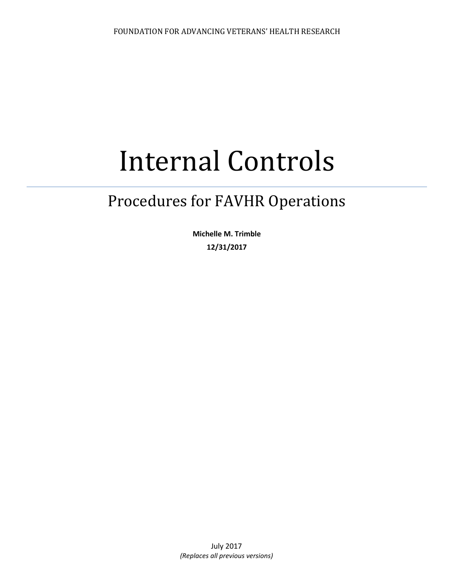# Internal Controls

# Procedures for FAVHR Operations

**Michelle M. Trimble 12/31/2017**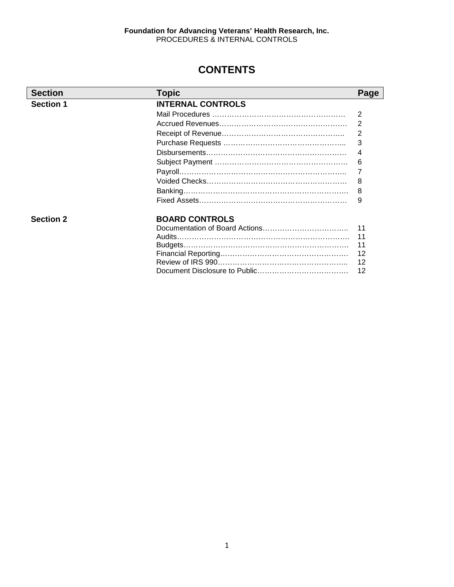# **CONTENTS**

| <b>Section</b>   | <b>Topic</b>             | Page           |
|------------------|--------------------------|----------------|
| <b>Section 1</b> | <b>INTERNAL CONTROLS</b> |                |
|                  |                          | 2              |
|                  |                          | 2              |
|                  |                          | $\overline{2}$ |
|                  |                          | 3              |
|                  |                          | 4              |
|                  |                          | 6              |
|                  |                          | 7              |
|                  |                          | 8              |
|                  |                          | 8              |
|                  |                          | 9              |
| <b>Section 2</b> | <b>BOARD CONTROLS</b>    |                |
|                  |                          | 11             |
|                  | Audits                   | 11             |
|                  |                          | 11             |
|                  |                          | 12             |
|                  |                          | 12             |
|                  |                          | 12             |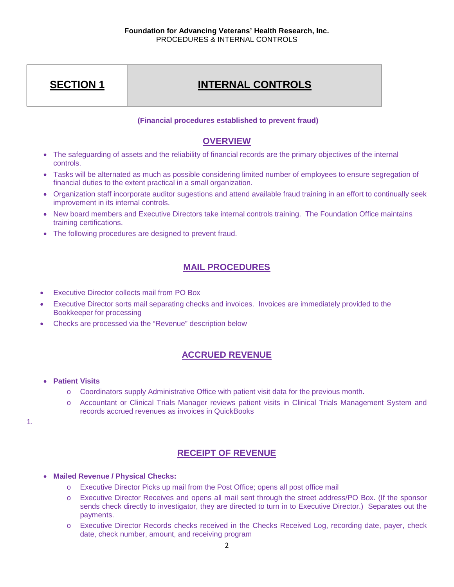# **INTERNAL CONTROLS**

#### **(Financial procedures established to prevent fraud)**

# **OVERVIEW**

- The safeguarding of assets and the reliability of financial records are the primary objectives of the internal controls.
- Tasks will be alternated as much as possible considering limited number of employees to ensure segregation of financial duties to the extent practical in a small organization.
- Organization staff incorporate auditor sugestions and attend available fraud training in an effort to continually seek improvement in its internal controls.
- New board members and Executive Directors take internal controls training. The Foundation Office maintains training certifications.
- The following procedures are designed to prevent fraud.

# **MAIL PROCEDURES**

- Executive Director collects mail from PO Box
- Executive Director sorts mail separating checks and invoices. Invoices are immediately provided to the Bookkeeper for processing
- Checks are processed via the "Revenue" description below

# **ACCRUED REVENUE**

- **Patient Visits**
	- o Coordinators supply Administrative Office with patient visit data for the previous month.
	- o Accountant or Clinical Trials Manager reviews patient visits in Clinical Trials Management System and records accrued revenues as invoices in QuickBooks

1.

# **RECEIPT OF REVENUE**

- **Mailed Revenue / Physical Checks:** 
	- o Executive Director Picks up mail from the Post Office; opens all post office mail
	- o Executive Director Receives and opens all mail sent through the street address/PO Box. (If the sponsor sends check directly to investigator, they are directed to turn in to Executive Director.) Separates out the payments.
	- o Executive Director Records checks received in the Checks Received Log, recording date, payer, check date, check number, amount, and receiving program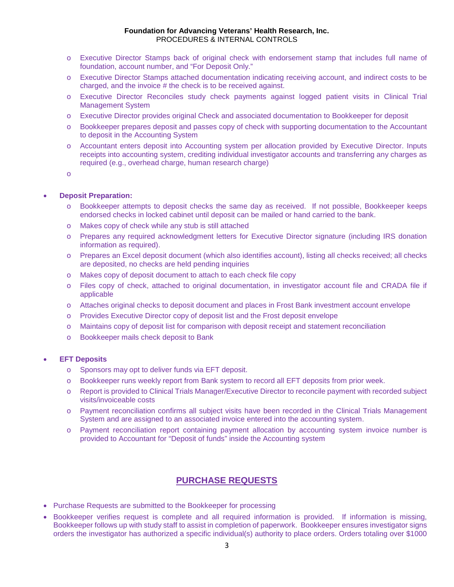- o Executive Director Stamps back of original check with endorsement stamp that includes full name of foundation, account number, and "For Deposit Only."
- o Executive Director Stamps attached documentation indicating receiving account, and indirect costs to be charged, and the invoice # the check is to be received against.
- o Executive Director Reconciles study check payments against logged patient visits in Clinical Trial Management System
- o Executive Director provides original Check and associated documentation to Bookkeeper for deposit
- o Bookkeeper prepares deposit and passes copy of check with supporting documentation to the Accountant to deposit in the Accounting System
- o Accountant enters deposit into Accounting system per allocation provided by Executive Director. Inputs receipts into accounting system, crediting individual investigator accounts and transferring any charges as required (e.g., overhead charge, human research charge)
- o

#### • **Deposit Preparation:**

- o Bookkeeper attempts to deposit checks the same day as received. If not possible, Bookkeeper keeps endorsed checks in locked cabinet until deposit can be mailed or hand carried to the bank.
- o Makes copy of check while any stub is still attached
- o Prepares any required acknowledgment letters for Executive Director signature (including IRS donation information as required).
- o Prepares an Excel deposit document (which also identifies account), listing all checks received; all checks are deposited, no checks are held pending inquiries
- o Makes copy of deposit document to attach to each check file copy
- o Files copy of check, attached to original documentation, in investigator account file and CRADA file if applicable
- o Attaches original checks to deposit document and places in Frost Bank investment account envelope
- o Provides Executive Director copy of deposit list and the Frost deposit envelope
- o Maintains copy of deposit list for comparison with deposit receipt and statement reconciliation
- o Bookkeeper mails check deposit to Bank

#### • **EFT Deposits**

- o Sponsors may opt to deliver funds via EFT deposit.
- o Bookkeeper runs weekly report from Bank system to record all EFT deposits from prior week.
- o Report is provided to Clinical Trials Manager/Executive Director to reconcile payment with recorded subject visits/invoiceable costs
- o Payment reconciliation confirms all subject visits have been recorded in the Clinical Trials Management System and are assigned to an associated invoice entered into the accounting system.
- o Payment reconciliation report containing payment allocation by accounting system invoice number is provided to Accountant for "Deposit of funds" inside the Accounting system

#### **PURCHASE REQUESTS**

- Purchase Requests are submitted to the Bookkeeper for processing
- Bookkeeper verifies request is complete and all required information is provided. If information is missing, Bookkeeper follows up with study staff to assist in completion of paperwork. Bookkeeper ensures investigator signs orders the investigator has authorized a specific individual(s) authority to place orders. Orders totaling over \$1000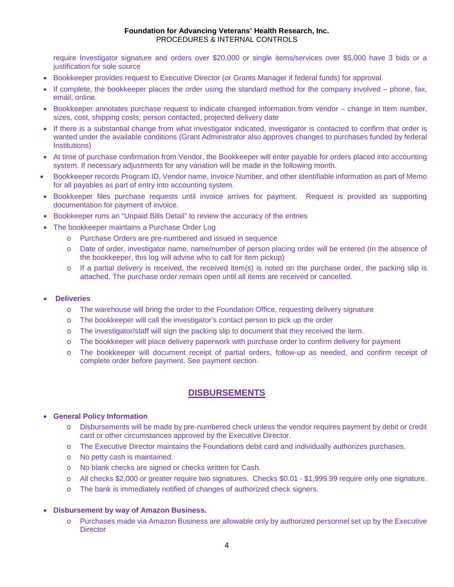require Investigator signature and orders over \$20,000 or single items/services over \$5,000 have 3 bids or a justification for sole source

- Bookkeeper provides request to Executive Director (or Grants Manager if federal funds) for approval
- If complete, the bookkeeper places the order using the standard method for the company involved phone, fax, email, online.
- Bookkeeper annotates purchase request to indicate changed information from vendor change in Item number, sizes, cost, shipping costs; person contacted, projected delivery date
- If there is a substantial change from what investigator indicated, investigator is contacted to confirm that order is wanted under the available conditions (Grant Administrator also approves changes to purchases funded by federal Institutions)
- At time of purchase confirmation from Vendor, the Bookkeeper will enter payable for orders placed into accounting system. If necessary adjustments for any variation will be made in the following month.
- Bookkeeper records Program ID, Vendor name, Invoice Number, and other identifiable information as part of Memo for all payables as part of entry into accounting system.
- Bookkeeper files purchase requests until invoice arrives for payment. Request is provided as supporting documentation for payment of invoice.
- Bookkeeper runs an "Unpaid Bills Detail" to review the accuracy of the entries
- The bookkeeper maintains a Purchase Order Log
	- o Purchase Orders are pre-numbered and issued in sequence
	- o Date of order, investigator name, name/number of person placing order will be entered (In the absence of the bookkeeper, this log will advise who to call for item pickup)
	- $\circ$  If a partial delivery is received, the received item(s) is noted on the purchase order, the packing slip is attached. The purchase order remain open until all items are received or cancelled.

#### • **Deliveries**

- o The warehouse will bring the order to the Foundation Office, requesting delivery signature
- o The bookkeeper will call the investigator's contact person to pick up the order
- o The investigator/staff will sign the packing slip to document that they received the item.
- o The bookkeeper will place delivery paperwork with purchase order to confirm delivery for payment
- o The bookkeeper will document receipt of partial orders, follow-up as needed, and confirm receipt of complete order before payment. See payment section.

#### **DISBURSEMENTS**

#### • **General Policy Information**

- o Disbursements will be made by pre-numbered check unless the vendor requires payment by debit or credit card or other circumstances approved by the Executive Director.
- o The Executive Director maintains the Foundations debit card and individually authorizes purchases.
- o No petty cash is maintained.
- o No blank checks are signed or checks written for Cash.
- o All checks \$2,000 or greater require two signatures. Checks \$0.01 \$1,999.99 require only one signature.
- o The bank is immediately notified of changes of authorized check signers.

#### • **Disbursement by way of Amazon Business.**

o Purchases made via Amazon Business are allowable only by authorized personnel set up by the Executive **Director**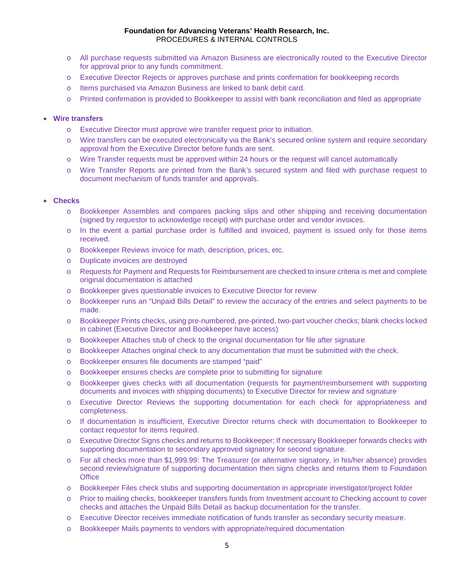- o All purchase requests submitted via Amazon Business are electronically routed to the Executive Director for approval prior to any funds commitment.
- o Executive Director Rejects or approves purchase and prints confirmation for bookkeeping records
- o Items purchased via Amazon Business are linked to bank debit card.
- o Printed confirmation is provided to Bookkeeper to assist with bank reconciliation and filed as appropriate

#### • **Wire transfers**

- o Executive Director must approve wire transfer request prior to initiation.
- o Wire transfers can be executed electronically via the Bank's secured online system and require secondary approval from the Executive Director before funds are sent.
- o Wire Transfer requests must be approved within 24 hours or the request will cancel automatically
- o Wire Transfer Reports are printed from the Bank's secured system and filed with purchase request to document mechanism of funds transfer and approvals.

#### • **Checks**

- o Bookkeeper Assembles and compares packing slips and other shipping and receiving documentation (signed by requestor to acknowledge receipt) with purchase order and vendor invoices.
- o In the event a partial purchase order is fulfilled and invoiced, payment is issued only for those items received.
- o Bookkeeper Reviews invoice for math, description, prices, etc.
- o Duplicate invoices are destroyed
- o Requests for Payment and Requests for Reimbursement are checked to insure criteria is met and complete original documentation is attached
- o Bookkeeper gives questionable invoices to Executive Director for review
- o Bookkeeper runs an "Unpaid Bills Detail" to review the accuracy of the entries and select payments to be made.
- o Bookkeeper Prints checks, using pre-numbered, pre-printed, two-part voucher checks; blank checks locked in cabinet (Executive Director and Bookkeeper have access)
- o Bookkeeper Attaches stub of check to the original documentation for file after signature
- o Bookkeeper Attaches original check to any documentation that must be submitted with the check.
- o Bookkeeper ensures file documents are stamped "paid"
- o Bookkeeper ensures checks are complete prior to submitting for signature
- o Bookkeeper gives checks with all documentation (requests for payment/reimbursement with supporting documents and invoices with shipping documents) to Executive Director for review and signature
- o Executive Director Reviews the supporting documentation for each check for appropriateness and completeness.
- o If documentation is insufficient, Executive Director returns check with documentation to Bookkeeper to contact requestor for items required.
- o Executive Director Signs checks and returns to Bookkeeper; If necessary Bookkeeper forwards checks with supporting documentation to secondary approved signatory for second signature.
- o For all checks more than \$1,999.99: The Treasurer (or alternative signatory, in his/her absence) provides second review/signature of supporting documentation then signs checks and returns them to Foundation **Office**
- o Bookkeeper Files check stubs and supporting documentation in appropriate investigator/project folder
- o Prior to mailing checks, bookkeeper transfers funds from Investment account to Checking account to cover checks and attaches the Unpaid Bills Detail as backup documentation for the transfer.
- o Executive Director receives immediate notification of funds transfer as secondary security measure.
- o Bookkeeper Mails payments to vendors with appropriate/required documentation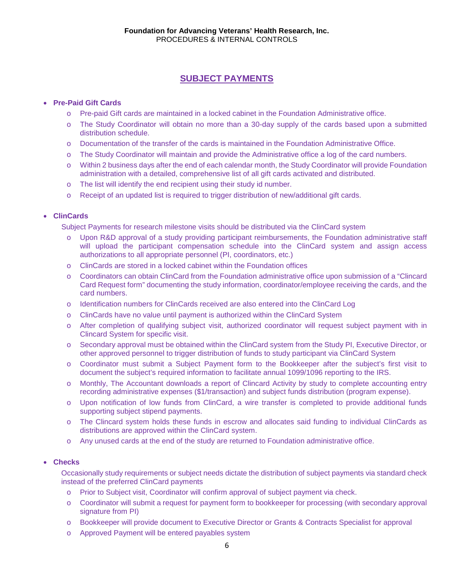# **SUBJECT PAYMENTS**

#### • **Pre-Paid Gift Cards**

- o Pre-paid Gift cards are maintained in a locked cabinet in the Foundation Administrative office.
- o The Study Coordinator will obtain no more than a 30-day supply of the cards based upon a submitted distribution schedule.
- o Documentation of the transfer of the cards is maintained in the Foundation Administrative Office.
- o The Study Coordinator will maintain and provide the Administrative office a log of the card numbers.
- o Within 2 business days after the end of each calendar month, the Study Coordinator will provide Foundation administration with a detailed, comprehensive list of all gift cards activated and distributed.
- o The list will identify the end recipient using their study id number.
- o Receipt of an updated list is required to trigger distribution of new/additional gift cards.

#### • **ClinCards**

Subject Payments for research milestone visits should be distributed via the ClinCard system

- o Upon R&D approval of a study providing participant reimbursements, the Foundation administrative staff will upload the participant compensation schedule into the ClinCard system and assign access authorizations to all appropriate personnel (PI, coordinators, etc.)
- o ClinCards are stored in a locked cabinet within the Foundation offices
- o Coordinators can obtain ClinCard from the Foundation administrative office upon submission of a "Clincard Card Request form" documenting the study information, coordinator/employee receiving the cards, and the card numbers.
- o Identification numbers for ClinCards received are also entered into the ClinCard Log
- o ClinCards have no value until payment is authorized within the ClinCard System
- o After completion of qualifying subject visit, authorized coordinator will request subject payment with in Clincard System for specific visit.
- o Secondary approval must be obtained within the ClinCard system from the Study PI, Executive Director, or other approved personnel to trigger distribution of funds to study participant via ClinCard System
- o Coordinator must submit a Subject Payment form to the Bookkeeper after the subject's first visit to document the subject's required information to facilitate annual 1099/1096 reporting to the IRS.
- o Monthly, The Accountant downloads a report of Clincard Activity by study to complete accounting entry recording administrative expenses (\$1/transaction) and subject funds distribution (program expense).
- o Upon notification of low funds from ClinCard, a wire transfer is completed to provide additional funds supporting subject stipend payments.
- o The Clincard system holds these funds in escrow and allocates said funding to individual ClinCards as distributions are approved within the ClinCard system.
- o Any unused cards at the end of the study are returned to Foundation administrative office.

#### • **Checks**

Occasionally study requirements or subject needs dictate the distribution of subject payments via standard check instead of the preferred ClinCard payments

- o Prior to Subject visit, Coordinator will confirm approval of subject payment via check.
- o Coordinator will submit a request for payment form to bookkeeper for processing (with secondary approval signature from PI)
- o Bookkeeper will provide document to Executive Director or Grants & Contracts Specialist for approval
- o Approved Payment will be entered payables system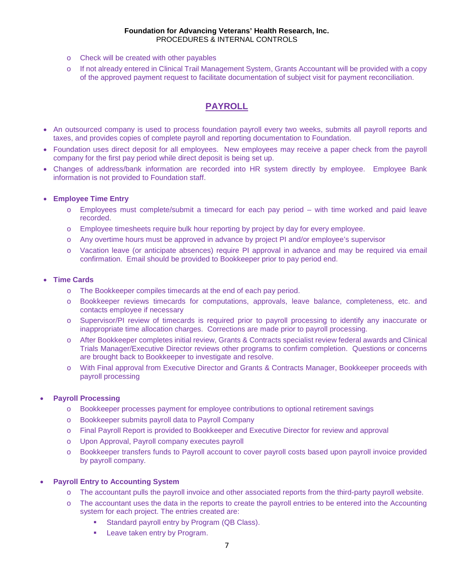- o Check will be created with other payables
- o If not already entered in Clinical Trail Management System, Grants Accountant will be provided with a copy of the approved payment request to facilitate documentation of subject visit for payment reconciliation.

# **PAYROLL**

- An outsourced company is used to process foundation payroll every two weeks, submits all payroll reports and taxes, and provides copies of complete payroll and reporting documentation to Foundation.
- Foundation uses direct deposit for all employees. New employees may receive a paper check from the payroll company for the first pay period while direct deposit is being set up.
- Changes of address/bank information are recorded into HR system directly by employee. Employee Bank information is not provided to Foundation staff.

#### • **Employee Time Entry**

- o Employees must complete/submit a timecard for each pay period with time worked and paid leave recorded.
- o Employee timesheets require bulk hour reporting by project by day for every employee.
- o Any overtime hours must be approved in advance by project PI and/or employee's supervisor
- o Vacation leave (or anticipate absences) require PI approval in advance and may be required via email confirmation. Email should be provided to Bookkeeper prior to pay period end.

#### • **Time Cards**

- o The Bookkeeper compiles timecards at the end of each pay period.
- o Bookkeeper reviews timecards for computations, approvals, leave balance, completeness, etc. and contacts employee if necessary
- o Supervisor/PI review of timecards is required prior to payroll processing to identify any inaccurate or inappropriate time allocation charges. Corrections are made prior to payroll processing.
- o After Bookkeeper completes initial review, Grants & Contracts specialist review federal awards and Clinical Trials Manager/Executive Director reviews other programs to confirm completion. Questions or concerns are brought back to Bookkeeper to investigate and resolve.
- o With Final approval from Executive Director and Grants & Contracts Manager, Bookkeeper proceeds with payroll processing

#### • **Payroll Processing**

- o Bookkeeper processes payment for employee contributions to optional retirement savings
- o Bookkeeper submits payroll data to Payroll Company
- o Final Payroll Report is provided to Bookkeeper and Executive Director for review and approval
- o Upon Approval, Payroll company executes payroll
- o Bookkeeper transfers funds to Payroll account to cover payroll costs based upon payroll invoice provided by payroll company.

#### • **Payroll Entry to Accounting System**

- o The accountant pulls the payroll invoice and other associated reports from the third-party payroll website.
- o The accountant uses the data in the reports to create the payroll entries to be entered into the Accounting system for each project. The entries created are:
	- Standard payroll entry by Program (QB Class).
	- Leave taken entry by Program.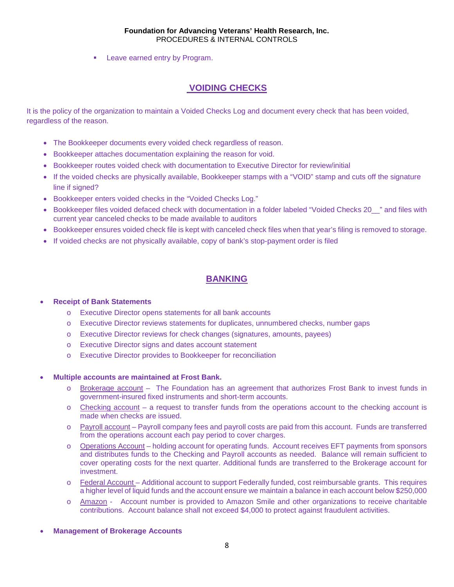**Leave earned entry by Program.** 

# **VOIDING CHECKS**

It is the policy of the organization to maintain a Voided Checks Log and document every check that has been voided, regardless of the reason.

- The Bookkeeper documents every voided check regardless of reason.
- Bookkeeper attaches documentation explaining the reason for void.
- Bookkeeper routes voided check with documentation to Executive Director for review/initial
- If the voided checks are physically available, Bookkeeper stamps with a "VOID" stamp and cuts off the signature line if signed?
- Bookkeeper enters voided checks in the "Voided Checks Log."
- Bookkeeper files voided defaced check with documentation in a folder labeled "Voided Checks 20" and files with current year canceled checks to be made available to auditors
- Bookkeeper ensures voided check file is kept with canceled check files when that year's filing is removed to storage.
- If voided checks are not physically available, copy of bank's stop-payment order is filed

# **BANKING**

#### • **Receipt of Bank Statements**

- o Executive Director opens statements for all bank accounts
- o Executive Director reviews statements for duplicates, unnumbered checks, number gaps
- o Executive Director reviews for check changes (signatures, amounts, payees)
- o Executive Director signs and dates account statement
- o Executive Director provides to Bookkeeper for reconciliation

#### • **Multiple accounts are maintained at Frost Bank.**

- o Brokerage account The Foundation has an agreement that authorizes Frost Bank to invest funds in government-insured fixed instruments and short-term accounts.
- $\circ$  Checking account a request to transfer funds from the operations account to the checking account is made when checks are issued.
- o Payroll account Payroll company fees and payroll costs are paid from this account. Funds are transferred from the operations account each pay period to cover charges.
- o Operations Account holding account for operating funds. Account receives EFT payments from sponsors and distributes funds to the Checking and Payroll accounts as needed. Balance will remain sufficient to cover operating costs for the next quarter. Additional funds are transferred to the Brokerage account for investment.
- o Federal Account Additional account to support Federally funded, cost reimbursable grants. This requires a higher level of liquid funds and the account ensure we maintain a balance in each account below \$250,000
- o Amazon Account number is provided to Amazon Smile and other organizations to receive charitable contributions. Account balance shall not exceed \$4,000 to protect against fraudulent activities.
- **Management of Brokerage Accounts**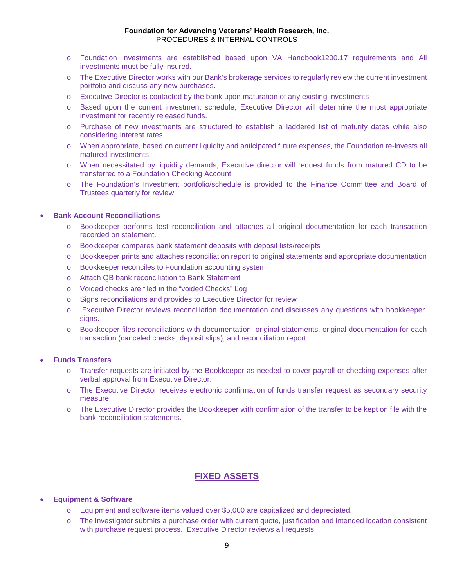- o Foundation investments are established based upon VA Handbook1200.17 requirements and All investments must be fully insured.
- o The Executive Director works with our Bank's brokerage services to regularly review the current investment portfolio and discuss any new purchases.
- o Executive Director is contacted by the bank upon maturation of any existing investments
- o Based upon the current investment schedule, Executive Director will determine the most appropriate investment for recently released funds.
- o Purchase of new investments are structured to establish a laddered list of maturity dates while also considering interest rates.
- o When appropriate, based on current liquidity and anticipated future expenses, the Foundation re-invests all matured investments.
- o When necessitated by liquidity demands, Executive director will request funds from matured CD to be transferred to a Foundation Checking Account.
- o The Foundation's Investment portfolio/schedule is provided to the Finance Committee and Board of Trustees quarterly for review.

#### • **Bank Account Reconciliations**

- o Bookkeeper performs test reconciliation and attaches all original documentation for each transaction recorded on statement.
- o Bookkeeper compares bank statement deposits with deposit lists/receipts
- o Bookkeeper prints and attaches reconciliation report to original statements and appropriate documentation
- o Bookkeeper reconciles to Foundation accounting system.
- o Attach QB bank reconciliation to Bank Statement
- o Voided checks are filed in the "voided Checks" Log
- o Signs reconciliations and provides to Executive Director for review
- o Executive Director reviews reconciliation documentation and discusses any questions with bookkeeper, signs.
- o Bookkeeper files reconciliations with documentation: original statements, original documentation for each transaction (canceled checks, deposit slips), and reconciliation report

#### • **Funds Transfers**

- o Transfer requests are initiated by the Bookkeeper as needed to cover payroll or checking expenses after verbal approval from Executive Director.
- o The Executive Director receives electronic confirmation of funds transfer request as secondary security measure.
- o The Executive Director provides the Bookkeeper with confirmation of the transfer to be kept on file with the bank reconciliation statements.

#### **FIXED ASSETS**

#### • **Equipment & Software**

- o Equipment and software items valued over \$5,000 are capitalized and depreciated.
- o The Investigator submits a purchase order with current quote, justification and intended location consistent with purchase request process. Executive Director reviews all requests.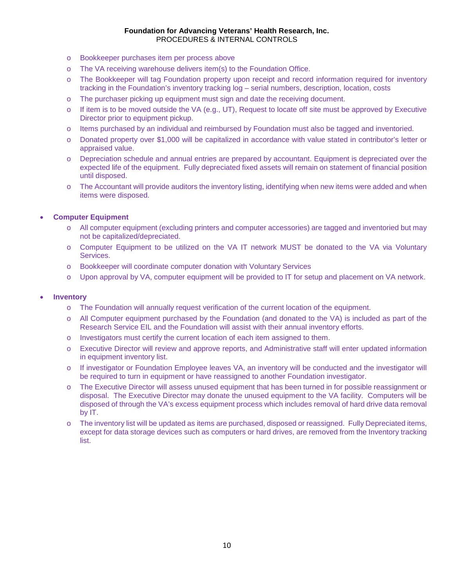- o Bookkeeper purchases item per process above
- o The VA receiving warehouse delivers item(s) to the Foundation Office.
- o The Bookkeeper will tag Foundation property upon receipt and record information required for inventory tracking in the Foundation's inventory tracking log – serial numbers, description, location, costs
- o The purchaser picking up equipment must sign and date the receiving document.
- o If item is to be moved outside the VA (e.g., UT), Request to locate off site must be approved by Executive Director prior to equipment pickup.
- o Items purchased by an individual and reimbursed by Foundation must also be tagged and inventoried.
- o Donated property over \$1,000 will be capitalized in accordance with value stated in contributor's letter or appraised value.
- o Depreciation schedule and annual entries are prepared by accountant. Equipment is depreciated over the expected life of the equipment. Fully depreciated fixed assets will remain on statement of financial position until disposed.
- o The Accountant will provide auditors the inventory listing, identifying when new items were added and when items were disposed.

#### • **Computer Equipment**

- o All computer equipment (excluding printers and computer accessories) are tagged and inventoried but may not be capitalized/depreciated.
- o Computer Equipment to be utilized on the VA IT network MUST be donated to the VA via Voluntary Services.
- o Bookkeeper will coordinate computer donation with Voluntary Services
- o Upon approval by VA, computer equipment will be provided to IT for setup and placement on VA network.

#### • **Inventory**

- o The Foundation will annually request verification of the current location of the equipment.
- o All Computer equipment purchased by the Foundation (and donated to the VA) is included as part of the Research Service EIL and the Foundation will assist with their annual inventory efforts.
- o Investigators must certify the current location of each item assigned to them.
- o Executive Director will review and approve reports, and Administrative staff will enter updated information in equipment inventory list.
- o If investigator or Foundation Employee leaves VA, an inventory will be conducted and the investigator will be required to turn in equipment or have reassigned to another Foundation investigator.
- o The Executive Director will assess unused equipment that has been turned in for possible reassignment or disposal. The Executive Director may donate the unused equipment to the VA facility. Computers will be disposed of through the VA's excess equipment process which includes removal of hard drive data removal by IT.
- o The inventory list will be updated as items are purchased, disposed or reassigned. Fully Depreciated items, except for data storage devices such as computers or hard drives, are removed from the Inventory tracking list.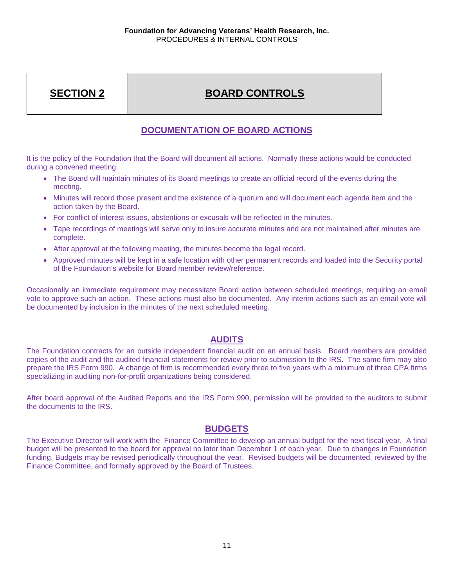# **SECTION 2**

# **BOARD CONTROLS**

# **DOCUMENTATION OF BOARD ACTIONS**

It is the policy of the Foundation that the Board will document all actions. Normally these actions would be conducted during a convened meeting.

- The Board will maintain minutes of its Board meetings to create an official record of the events during the meeting.
- Minutes will record those present and the existence of a quorum and will document each agenda item and the action taken by the Board.
- For conflict of interest issues, abstentions or excusals will be reflected in the minutes.
- Tape recordings of meetings will serve only to insure accurate minutes and are not maintained after minutes are complete.
- After approval at the following meeting, the minutes become the legal record.
- Approved minutes will be kept in a safe location with other permanent records and loaded into the Security portal of the Foundation's website for Board member review/reference.

Occasionally an immediate requirement may necessitate Board action between scheduled meetings, requiring an email vote to approve such an action. These actions must also be documented. Any interim actions such as an email vote will be documented by inclusion in the minutes of the next scheduled meeting.

# **AUDITS**

The Foundation contracts for an outside independent financial audit on an annual basis. Board members are provided copies of the audit and the audited financial statements for review prior to submission to the IRS. The same firm may also prepare the IRS Form 990. A change of firm is recommended every three to five years with a minimum of three CPA firms specializing in auditing non-for-profit organizations being considered.

After board approval of the Audited Reports and the IRS Form 990, permission will be provided to the auditors to submit the documents to the IRS.

# **BUDGETS**

The Executive Director will work with the Finance Committee to develop an annual budget for the next fiscal year. A final budget will be presented to the board for approval no later than December 1 of each year. Due to changes in Foundation funding, Budgets may be revised periodically throughout the year. Revised budgets will be documented, reviewed by the Finance Committee, and formally approved by the Board of Trustees.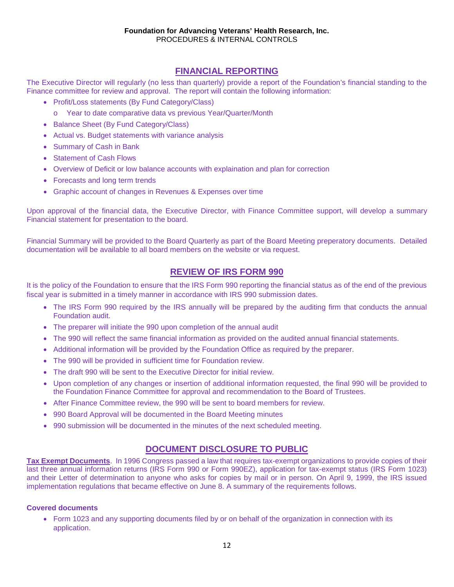### **FINANCIAL REPORTING**

The Executive Director will regularly (no less than quarterly) provide a report of the Foundation's financial standing to the Finance committee for review and approval. The report will contain the following information:

- Profit/Loss statements (By Fund Category/Class)
	- o Year to date comparative data vs previous Year/Quarter/Month
- Balance Sheet (By Fund Category/Class)
- Actual vs. Budget statements with variance analysis
- Summary of Cash in Bank
- Statement of Cash Flows
- Overview of Deficit or low balance accounts with explaination and plan for correction
- Forecasts and long term trends
- Graphic account of changes in Revenues & Expenses over time

Upon approval of the financial data, the Executive Director, with Finance Committee support, will develop a summary Financial statement for presentation to the board.

Financial Summary will be provided to the Board Quarterly as part of the Board Meeting preperatory documents. Detailed documentation will be available to all board members on the website or via request.

# **REVIEW OF IRS FORM 990**

It is the policy of the Foundation to ensure that the IRS Form 990 reporting the financial status as of the end of the previous fiscal year is submitted in a timely manner in accordance with IRS 990 submission dates.

- The IRS Form 990 required by the IRS annually will be prepared by the auditing firm that conducts the annual Foundation audit.
- The preparer will initiate the 990 upon completion of the annual audit
- The 990 will reflect the same financial information as provided on the audited annual financial statements.
- Additional information will be provided by the Foundation Office as required by the preparer.
- The 990 will be provided in sufficient time for Foundation review.
- The draft 990 will be sent to the Executive Director for initial review.
- Upon completion of any changes or insertion of additional information requested, the final 990 will be provided to the Foundation Finance Committee for approval and recommendation to the Board of Trustees.
- After Finance Committee review, the 990 will be sent to board members for review.
- 990 Board Approval will be documented in the Board Meeting minutes
- 990 submission will be documented in the minutes of the next scheduled meeting.

# **DOCUMENT DISCLOSURE TO PUBLIC**

**Tax Exempt Documents**. In 1996 Congress passed a law that requires tax-exempt organizations to provide copies of their last three annual information returns (IRS Form 990 or Form 990EZ), application for tax-exempt status (IRS Form 1023) and their Letter of determination to anyone who asks for copies by mail or in person. On April 9, 1999, the IRS issued implementation regulations that became effective on June 8. A summary of the requirements follows.

#### **Covered documents**

• Form 1023 and any supporting documents filed by or on behalf of the organization in connection with its application.